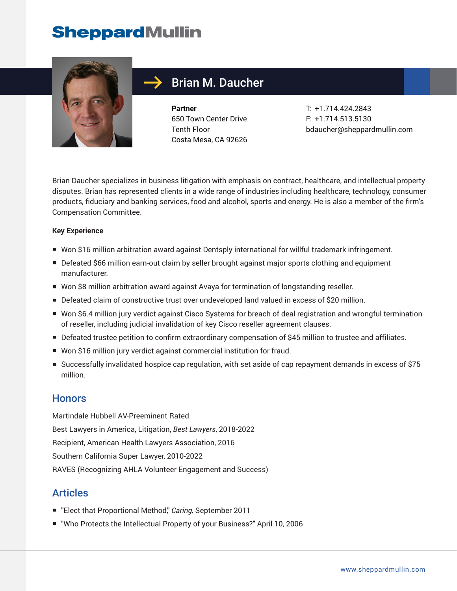

### Brian M. Daucher

**Partner** 650 Town Center Drive Tenth Floor Costa Mesa, CA 92626 T: +1.714.424.2843 F: +1.714.513.5130 bdaucher@sheppardmullin.com

Brian Daucher specializes in business litigation with emphasis on contract, healthcare, and intellectual property disputes. Brian has represented clients in a wide range of industries including healthcare, technology, consumer products, fiduciary and banking services, food and alcohol, sports and energy. He is also a member of the firm's Compensation Committee.

#### **Key Experience**

- Won \$16 million arbitration award against Dentsply international for willful trademark infringement.
- Defeated \$66 million earn-out claim by seller brought against major sports clothing and equipment manufacturer.
- Won \$8 million arbitration award against Avaya for termination of longstanding reseller.
- Defeated claim of constructive trust over undeveloped land valued in excess of \$20 million.
- Won \$6.4 million jury verdict against Cisco Systems for breach of deal registration and wrongful termination of reseller, including judicial invalidation of key Cisco reseller agreement clauses.
- Defeated trustee petition to confirm extraordinary compensation of \$45 million to trustee and affiliates.
- Won \$16 million jury verdict against commercial institution for fraud.
- Successfully invalidated hospice cap regulation, with set aside of cap repayment demands in excess of \$75 million.

#### **Honors**

Martindale Hubbell AV-Preeminent Rated Best Lawyers in America, Litigation, *Best Lawyers*, 2018-2022 Recipient, American Health Lawyers Association, 2016 Southern California Super Lawyer, 2010-2022 RAVES (Recognizing AHLA Volunteer Engagement and Success)

#### Articles

- "Elect that Proportional Method," *Caring*, September 2011
- "Who Protects the Intellectual Property of your Business?" April 10, 2006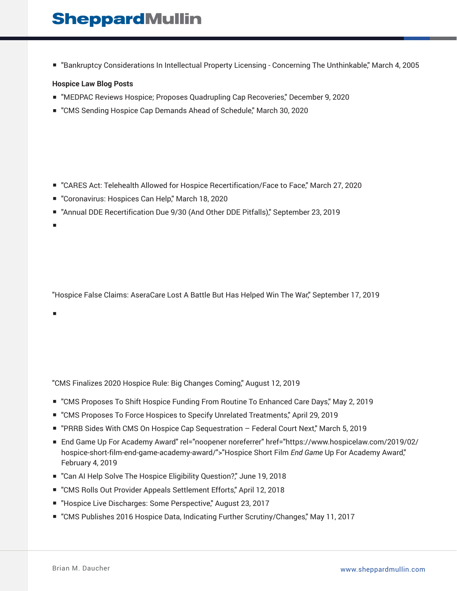■ "Bankruptcy Considerations In Intellectual Property Licensing - Concerning The Unthinkable," March 4, 2005

#### **Hospice Law Blog Posts**

- "MEDPAC Reviews Hospice; Proposes Quadrupling Cap Recoveries," December 9, 2020
- "CMS Sending Hospice Cap Demands Ahead of Schedule," March 30, 2020

- "CARES Act: Telehealth Allowed for Hospice Recertification/Face to Face," March 27, 2020
- "Coronavirus: Hospices Can Help," March 18, 2020
- "Annual DDE Recertification Due 9/30 (And Other DDE Pitfalls)," September 23, 2019
- ■

"Hospice False Claims: AseraCare Lost A Battle But Has Helped Win The War," September 17, 2019

■

"CMS Finalizes 2020 Hospice Rule: Big Changes Coming," August 12, 2019

- "CMS Proposes To Shift Hospice Funding From Routine To Enhanced Care Days," May 2, 2019
- "CMS Proposes To Force Hospices to Specify Unrelated Treatments," April 29, 2019
- "PRRB Sides With CMS On Hospice Cap Sequestration Federal Court Next," March 5, 2019
- End Game Up For Academy Award" rel="noopener noreferrer" href="https://www.hospicelaw.com/2019/02/ hospice-short-film-end-game-academy-award/">"Hospice Short Film *End Game* Up For Academy Award," February 4, 2019
- "Can AI Help Solve The Hospice Eligibility Question?," June 19, 2018
- "CMS Rolls Out Provider Appeals Settlement Efforts," April 12, 2018
- "Hospice Live Discharges: Some Perspective," August 23, 2017
- "CMS Publishes 2016 Hospice Data, Indicating Further Scrutiny/Changes," May 11, 2017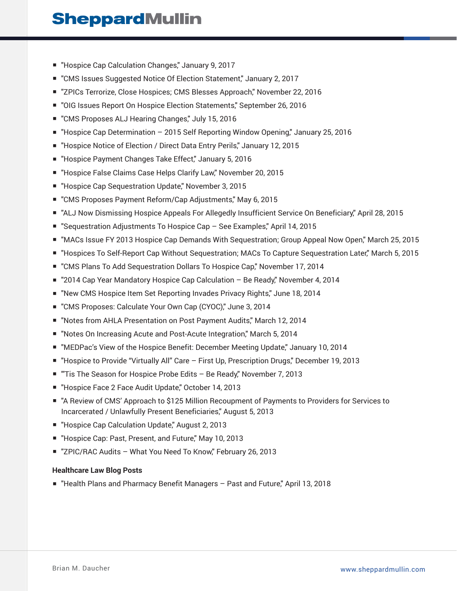- "Hospice Cap Calculation Changes," January 9, 2017
- "CMS Issues Suggested Notice Of Election Statement," January 2, 2017
- "ZPICs Terrorize, Close Hospices; CMS Blesses Approach," November 22, 2016
- "OIG Issues Report On Hospice Election Statements," September 26, 2016
- "CMS Proposes ALJ Hearing Changes," July 15, 2016
- "Hospice Cap Determination 2015 Self Reporting Window Opening," January 25, 2016
- "Hospice Notice of Election / Direct Data Entry Perils," January 12, 2015
- "Hospice Payment Changes Take Effect," January 5, 2016
- "Hospice False Claims Case Helps Clarify Law," November 20, 2015
- "Hospice Cap Sequestration Update," November 3, 2015
- "CMS Proposes Payment Reform/Cap Adjustments," May 6, 2015
- "ALJ Now Dismissing Hospice Appeals For Allegedly Insufficient Service On Beneficiary," April 28, 2015
- "Sequestration Adjustments To Hospice Cap See Examples," April 14, 2015
- "MACs Issue FY 2013 Hospice Cap Demands With Sequestration; Group Appeal Now Open," March 25, 2015
- "Hospices To Self-Report Cap Without Sequestration; MACs To Capture Sequestration Later," March 5, 2015
- "CMS Plans To Add Sequestration Dollars To Hospice Cap," November 17, 2014
- "2014 Cap Year Mandatory Hospice Cap Calculation Be Ready" November 4, 2014
- "New CMS Hospice Item Set Reporting Invades Privacy Rights," June 18, 2014
- "CMS Proposes: Calculate Your Own Cap (CYOC)," June 3, 2014
- "Notes from AHLA Presentation on Post Payment Audits," March 12, 2014
- "Notes On Increasing Acute and Post-Acute Integration," March 5, 2014
- "MEDPac's View of the Hospice Benefit: December Meeting Update," January 10, 2014
- "Hospice to Provide "Virtually All" Care First Up, Prescription Drugs," December 19, 2013
- "Tis The Season for Hospice Probe Edits Be Ready," November 7, 2013
- "Hospice Face 2 Face Audit Update," October 14, 2013
- "A Review of CMS' Approach to \$125 Million Recoupment of Payments to Providers for Services to Incarcerated / Unlawfully Present Beneficiaries," August 5, 2013
- "Hospice Cap Calculation Update," August 2, 2013
- "Hospice Cap: Past, Present, and Future," May 10, 2013
- "ZPIC/RAC Audits What You Need To Know," February 26, 2013

#### **Healthcare Law Blog Posts**

■ "Health Plans and Pharmacy Benefit Managers - Past and Future," April 13, 2018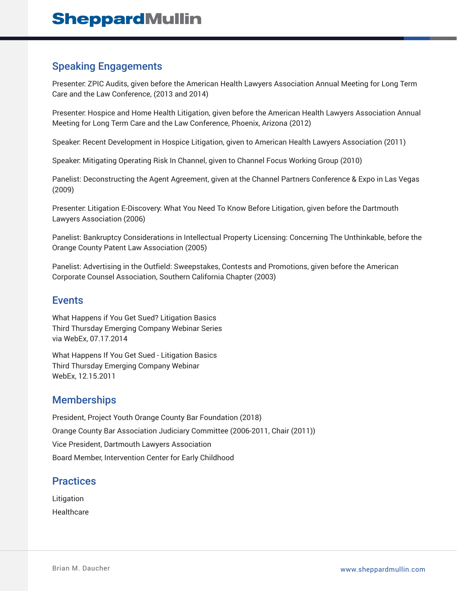### Speaking Engagements

Presenter: ZPIC Audits, given before the American Health Lawyers Association Annual Meeting for Long Term Care and the Law Conference, (2013 and 2014)

Presenter: Hospice and Home Health Litigation, given before the American Health Lawyers Association Annual Meeting for Long Term Care and the Law Conference, Phoenix, Arizona (2012)

Speaker: Recent Development in Hospice Litigation, given to American Health Lawyers Association (2011)

Speaker: Mitigating Operating Risk In Channel, given to Channel Focus Working Group (2010)

Panelist: Deconstructing the Agent Agreement, given at the Channel Partners Conference & Expo in Las Vegas (2009)

Presenter: Litigation E-Discovery: What You Need To Know Before Litigation, given before the Dartmouth Lawyers Association (2006)

Panelist: Bankruptcy Considerations in Intellectual Property Licensing: Concerning The Unthinkable, before the Orange County Patent Law Association (2005)

Panelist: Advertising in the Outfield: Sweepstakes, Contests and Promotions, given before the American Corporate Counsel Association, Southern California Chapter (2003)

#### Events

What Happens if You Get Sued? Litigation Basics Third Thursday Emerging Company Webinar Series via WebEx, 07.17.2014

What Happens If You Get Sued - Litigation Basics Third Thursday Emerging Company Webinar WebEx, 12.15.2011

#### **Memberships**

President, Project Youth Orange County Bar Foundation (2018) Orange County Bar Association Judiciary Committee (2006-2011, Chair (2011)) Vice President, Dartmouth Lawyers Association Board Member, Intervention Center for Early Childhood

### **Practices**

Litigation **Healthcare**